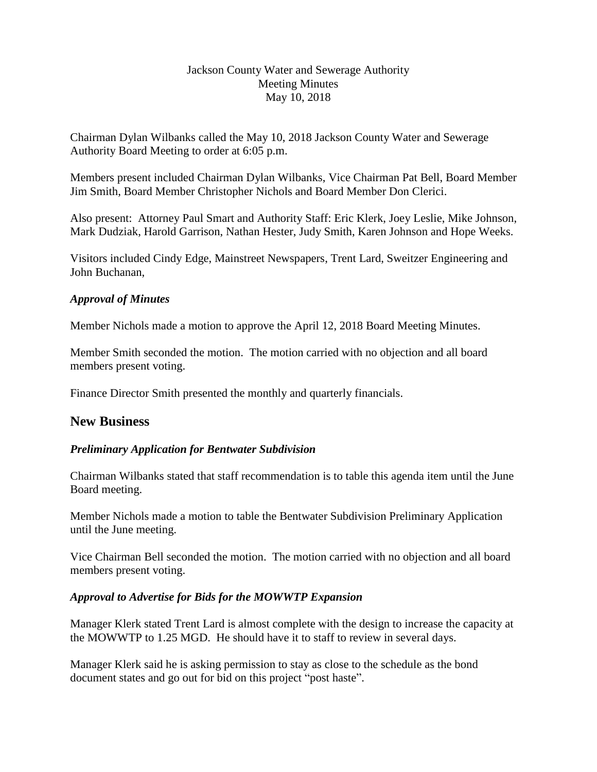#### Jackson County Water and Sewerage Authority Meeting Minutes May 10, 2018

Chairman Dylan Wilbanks called the May 10, 2018 Jackson County Water and Sewerage Authority Board Meeting to order at 6:05 p.m.

Members present included Chairman Dylan Wilbanks, Vice Chairman Pat Bell, Board Member Jim Smith, Board Member Christopher Nichols and Board Member Don Clerici.

Also present: Attorney Paul Smart and Authority Staff: Eric Klerk, Joey Leslie, Mike Johnson, Mark Dudziak, Harold Garrison, Nathan Hester, Judy Smith, Karen Johnson and Hope Weeks.

Visitors included Cindy Edge, Mainstreet Newspapers, Trent Lard, Sweitzer Engineering and John Buchanan,

#### *Approval of Minutes*

Member Nichols made a motion to approve the April 12, 2018 Board Meeting Minutes.

Member Smith seconded the motion. The motion carried with no objection and all board members present voting.

Finance Director Smith presented the monthly and quarterly financials.

## **New Business**

## *Preliminary Application for Bentwater Subdivision*

Chairman Wilbanks stated that staff recommendation is to table this agenda item until the June Board meeting.

Member Nichols made a motion to table the Bentwater Subdivision Preliminary Application until the June meeting.

Vice Chairman Bell seconded the motion. The motion carried with no objection and all board members present voting.

## *Approval to Advertise for Bids for the MOWWTP Expansion*

Manager Klerk stated Trent Lard is almost complete with the design to increase the capacity at the MOWWTP to 1.25 MGD. He should have it to staff to review in several days.

Manager Klerk said he is asking permission to stay as close to the schedule as the bond document states and go out for bid on this project "post haste".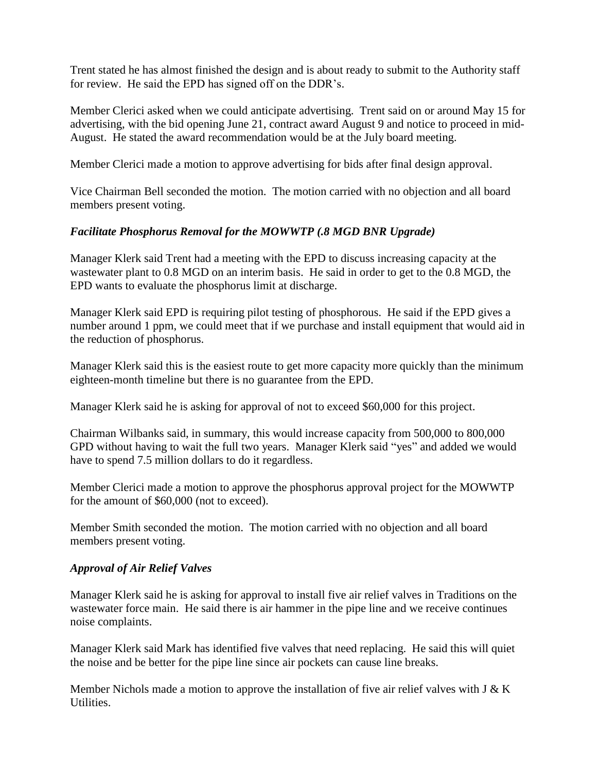Trent stated he has almost finished the design and is about ready to submit to the Authority staff for review. He said the EPD has signed off on the DDR's.

Member Clerici asked when we could anticipate advertising. Trent said on or around May 15 for advertising, with the bid opening June 21, contract award August 9 and notice to proceed in mid-August. He stated the award recommendation would be at the July board meeting.

Member Clerici made a motion to approve advertising for bids after final design approval.

Vice Chairman Bell seconded the motion. The motion carried with no objection and all board members present voting.

## *Facilitate Phosphorus Removal for the MOWWTP (.8 MGD BNR Upgrade)*

Manager Klerk said Trent had a meeting with the EPD to discuss increasing capacity at the wastewater plant to 0.8 MGD on an interim basis. He said in order to get to the 0.8 MGD, the EPD wants to evaluate the phosphorus limit at discharge.

Manager Klerk said EPD is requiring pilot testing of phosphorous. He said if the EPD gives a number around 1 ppm, we could meet that if we purchase and install equipment that would aid in the reduction of phosphorus.

Manager Klerk said this is the easiest route to get more capacity more quickly than the minimum eighteen-month timeline but there is no guarantee from the EPD.

Manager Klerk said he is asking for approval of not to exceed \$60,000 for this project.

Chairman Wilbanks said, in summary, this would increase capacity from 500,000 to 800,000 GPD without having to wait the full two years. Manager Klerk said "yes" and added we would have to spend 7.5 million dollars to do it regardless.

Member Clerici made a motion to approve the phosphorus approval project for the MOWWTP for the amount of \$60,000 (not to exceed).

Member Smith seconded the motion. The motion carried with no objection and all board members present voting.

## *Approval of Air Relief Valves*

Manager Klerk said he is asking for approval to install five air relief valves in Traditions on the wastewater force main. He said there is air hammer in the pipe line and we receive continues noise complaints.

Manager Klerk said Mark has identified five valves that need replacing. He said this will quiet the noise and be better for the pipe line since air pockets can cause line breaks.

Member Nichols made a motion to approve the installation of five air relief valves with J  $& K$ Utilities.